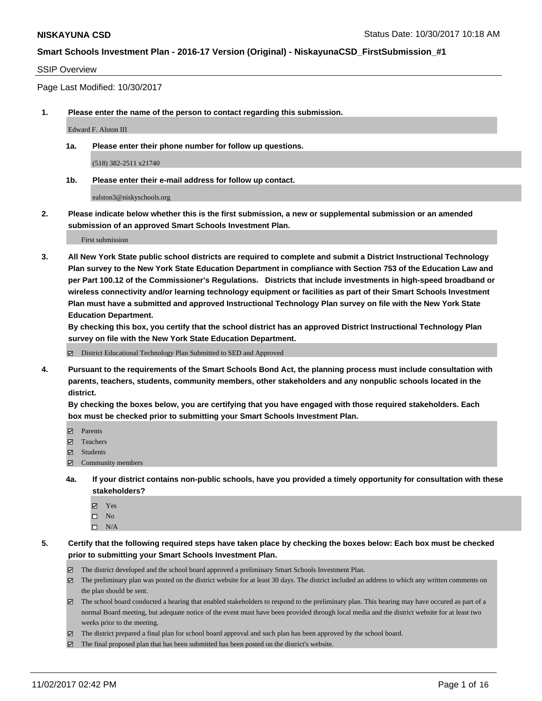#### SSIP Overview

Page Last Modified: 10/30/2017

**1. Please enter the name of the person to contact regarding this submission.**

Edward F. Alston III

**1a. Please enter their phone number for follow up questions.**

(518) 382-2511 x21740

**1b. Please enter their e-mail address for follow up contact.**

ealston3@niskyschools.org

**2. Please indicate below whether this is the first submission, a new or supplemental submission or an amended submission of an approved Smart Schools Investment Plan.**

First submission

**3. All New York State public school districts are required to complete and submit a District Instructional Technology Plan survey to the New York State Education Department in compliance with Section 753 of the Education Law and per Part 100.12 of the Commissioner's Regulations. Districts that include investments in high-speed broadband or wireless connectivity and/or learning technology equipment or facilities as part of their Smart Schools Investment Plan must have a submitted and approved Instructional Technology Plan survey on file with the New York State Education Department.** 

**By checking this box, you certify that the school district has an approved District Instructional Technology Plan survey on file with the New York State Education Department.**

District Educational Technology Plan Submitted to SED and Approved

**4. Pursuant to the requirements of the Smart Schools Bond Act, the planning process must include consultation with parents, teachers, students, community members, other stakeholders and any nonpublic schools located in the district.** 

**By checking the boxes below, you are certifying that you have engaged with those required stakeholders. Each box must be checked prior to submitting your Smart Schools Investment Plan.**

- **Parents**
- Teachers
- Students
- $\Xi$  Community members
- **4a. If your district contains non-public schools, have you provided a timely opportunity for consultation with these stakeholders?**
	- **Ø** Yes
	- $\square$  No
	- $\square$  N/A

**5. Certify that the following required steps have taken place by checking the boxes below: Each box must be checked prior to submitting your Smart Schools Investment Plan.**

- The district developed and the school board approved a preliminary Smart Schools Investment Plan.
- The preliminary plan was posted on the district website for at least 30 days. The district included an address to which any written comments on the plan should be sent.
- The school board conducted a hearing that enabled stakeholders to respond to the preliminary plan. This hearing may have occured as part of a normal Board meeting, but adequate notice of the event must have been provided through local media and the district website for at least two weeks prior to the meeting.
- The district prepared a final plan for school board approval and such plan has been approved by the school board.
- $\boxtimes$  The final proposed plan that has been submitted has been posted on the district's website.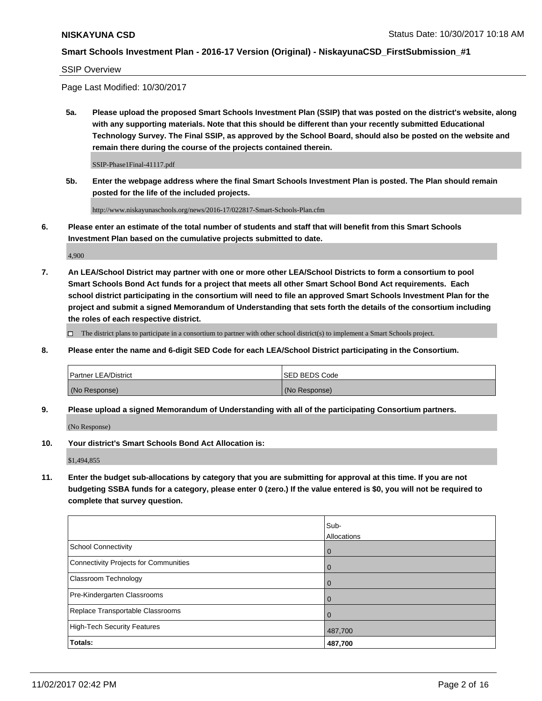SSIP Overview

Page Last Modified: 10/30/2017

**5a. Please upload the proposed Smart Schools Investment Plan (SSIP) that was posted on the district's website, along with any supporting materials. Note that this should be different than your recently submitted Educational Technology Survey. The Final SSIP, as approved by the School Board, should also be posted on the website and remain there during the course of the projects contained therein.**

SSIP-Phase1Final-41117.pdf

**5b. Enter the webpage address where the final Smart Schools Investment Plan is posted. The Plan should remain posted for the life of the included projects.**

http://www.niskayunaschools.org/news/2016-17/022817-Smart-Schools-Plan.cfm

**6. Please enter an estimate of the total number of students and staff that will benefit from this Smart Schools Investment Plan based on the cumulative projects submitted to date.**

4,900

**7. An LEA/School District may partner with one or more other LEA/School Districts to form a consortium to pool Smart Schools Bond Act funds for a project that meets all other Smart School Bond Act requirements. Each school district participating in the consortium will need to file an approved Smart Schools Investment Plan for the project and submit a signed Memorandum of Understanding that sets forth the details of the consortium including the roles of each respective district.**

 $\Box$  The district plans to participate in a consortium to partner with other school district(s) to implement a Smart Schools project.

**8. Please enter the name and 6-digit SED Code for each LEA/School District participating in the Consortium.**

| <b>Partner LEA/District</b> | <b>ISED BEDS Code</b> |
|-----------------------------|-----------------------|
| (No Response)               | (No Response)         |

**9. Please upload a signed Memorandum of Understanding with all of the participating Consortium partners.**

(No Response)

**10. Your district's Smart Schools Bond Act Allocation is:**

\$1,494,855

**11. Enter the budget sub-allocations by category that you are submitting for approval at this time. If you are not budgeting SSBA funds for a category, please enter 0 (zero.) If the value entered is \$0, you will not be required to complete that survey question.**

|                                       | Sub-        |
|---------------------------------------|-------------|
|                                       | Allocations |
| <b>School Connectivity</b>            | 0           |
| Connectivity Projects for Communities | 0           |
| <b>Classroom Technology</b>           | 0           |
| Pre-Kindergarten Classrooms           | 0           |
| Replace Transportable Classrooms      | 0           |
| <b>High-Tech Security Features</b>    | 487,700     |
| Totals:                               | 487,700     |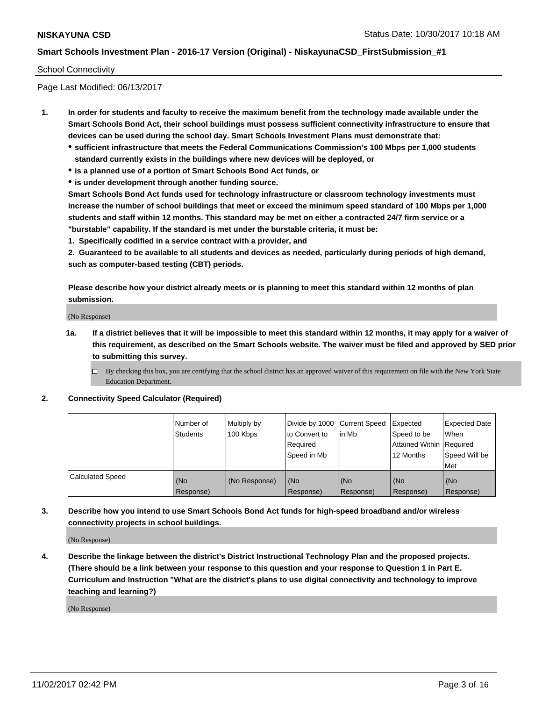#### School Connectivity

Page Last Modified: 06/13/2017

- **1. In order for students and faculty to receive the maximum benefit from the technology made available under the Smart Schools Bond Act, their school buildings must possess sufficient connectivity infrastructure to ensure that devices can be used during the school day. Smart Schools Investment Plans must demonstrate that:**
	- **sufficient infrastructure that meets the Federal Communications Commission's 100 Mbps per 1,000 students standard currently exists in the buildings where new devices will be deployed, or**
	- **is a planned use of a portion of Smart Schools Bond Act funds, or**
	- **is under development through another funding source.**

**Smart Schools Bond Act funds used for technology infrastructure or classroom technology investments must increase the number of school buildings that meet or exceed the minimum speed standard of 100 Mbps per 1,000 students and staff within 12 months. This standard may be met on either a contracted 24/7 firm service or a "burstable" capability. If the standard is met under the burstable criteria, it must be:**

**1. Specifically codified in a service contract with a provider, and**

**2. Guaranteed to be available to all students and devices as needed, particularly during periods of high demand, such as computer-based testing (CBT) periods.**

**Please describe how your district already meets or is planning to meet this standard within 12 months of plan submission.**

(No Response)

**1a. If a district believes that it will be impossible to meet this standard within 12 months, it may apply for a waiver of this requirement, as described on the Smart Schools website. The waiver must be filed and approved by SED prior to submitting this survey.**

**2. Connectivity Speed Calculator (Required)**

|                         | Number of<br><b>Students</b> | Multiply by<br>100 Kbps | Divide by 1000   Current Speed<br>to Convert to<br>Required<br>Speed in Mb | lin Mb           | Expected<br>Speed to be<br>Attained Within   Required<br>12 Months | <b>Expected Date</b><br>When<br>Speed Will be<br>Met |
|-------------------------|------------------------------|-------------------------|----------------------------------------------------------------------------|------------------|--------------------------------------------------------------------|------------------------------------------------------|
| <b>Calculated Speed</b> | (No<br>Response)             | (No Response)           | (No<br>Response)                                                           | (No<br>Response) | (No<br>Response)                                                   | (No<br>Response)                                     |

**3. Describe how you intend to use Smart Schools Bond Act funds for high-speed broadband and/or wireless connectivity projects in school buildings.**

(No Response)

**4. Describe the linkage between the district's District Instructional Technology Plan and the proposed projects. (There should be a link between your response to this question and your response to Question 1 in Part E. Curriculum and Instruction "What are the district's plans to use digital connectivity and technology to improve teaching and learning?)**

(No Response)

 $\Box$  By checking this box, you are certifying that the school district has an approved waiver of this requirement on file with the New York State Education Department.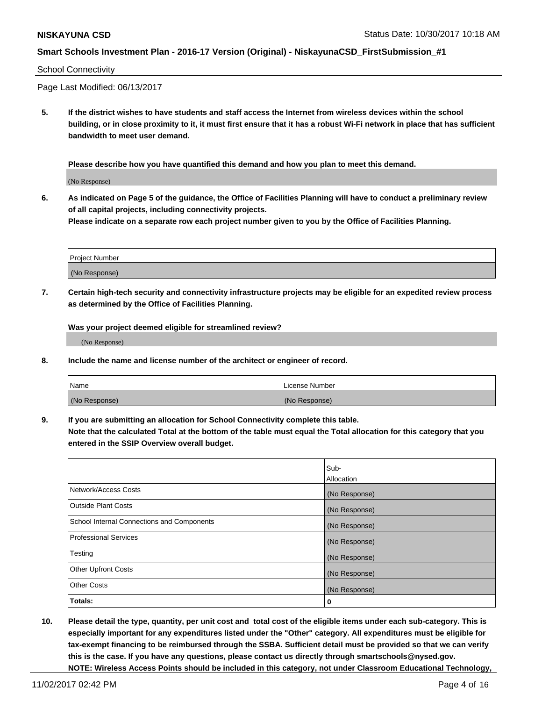#### School Connectivity

Page Last Modified: 06/13/2017

**5. If the district wishes to have students and staff access the Internet from wireless devices within the school building, or in close proximity to it, it must first ensure that it has a robust Wi-Fi network in place that has sufficient bandwidth to meet user demand.**

**Please describe how you have quantified this demand and how you plan to meet this demand.**

(No Response)

**6. As indicated on Page 5 of the guidance, the Office of Facilities Planning will have to conduct a preliminary review of all capital projects, including connectivity projects.**

**Please indicate on a separate row each project number given to you by the Office of Facilities Planning.**

| Project Number |  |
|----------------|--|
|                |  |
| (No Response)  |  |

**7. Certain high-tech security and connectivity infrastructure projects may be eligible for an expedited review process as determined by the Office of Facilities Planning.**

**Was your project deemed eligible for streamlined review?**

(No Response)

**8. Include the name and license number of the architect or engineer of record.**

| Name          | License Number |
|---------------|----------------|
| (No Response) | (No Response)  |

**9. If you are submitting an allocation for School Connectivity complete this table.**

**Note that the calculated Total at the bottom of the table must equal the Total allocation for this category that you entered in the SSIP Overview overall budget.** 

|                                            | Sub-          |
|--------------------------------------------|---------------|
|                                            | Allocation    |
| Network/Access Costs                       | (No Response) |
| <b>Outside Plant Costs</b>                 | (No Response) |
| School Internal Connections and Components | (No Response) |
| <b>Professional Services</b>               | (No Response) |
| Testing                                    | (No Response) |
| <b>Other Upfront Costs</b>                 | (No Response) |
| <b>Other Costs</b>                         | (No Response) |
| Totals:                                    | 0             |

**10. Please detail the type, quantity, per unit cost and total cost of the eligible items under each sub-category. This is especially important for any expenditures listed under the "Other" category. All expenditures must be eligible for tax-exempt financing to be reimbursed through the SSBA. Sufficient detail must be provided so that we can verify this is the case. If you have any questions, please contact us directly through smartschools@nysed.gov. NOTE: Wireless Access Points should be included in this category, not under Classroom Educational Technology,**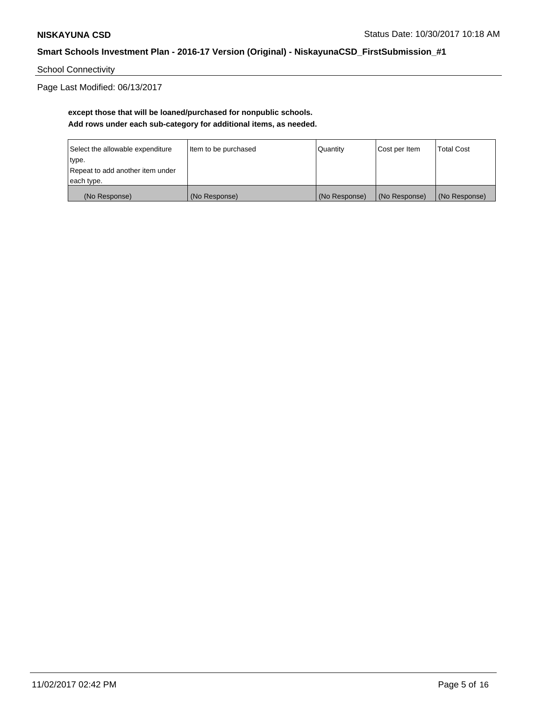School Connectivity

Page Last Modified: 06/13/2017

## **except those that will be loaned/purchased for nonpublic schools. Add rows under each sub-category for additional items, as needed.**

| Select the allowable expenditure | Item to be purchased | Quantity      | Cost per Item | <b>Total Cost</b> |
|----------------------------------|----------------------|---------------|---------------|-------------------|
| type.                            |                      |               |               |                   |
| Repeat to add another item under |                      |               |               |                   |
| each type.                       |                      |               |               |                   |
| (No Response)                    | (No Response)        | (No Response) | (No Response) | (No Response)     |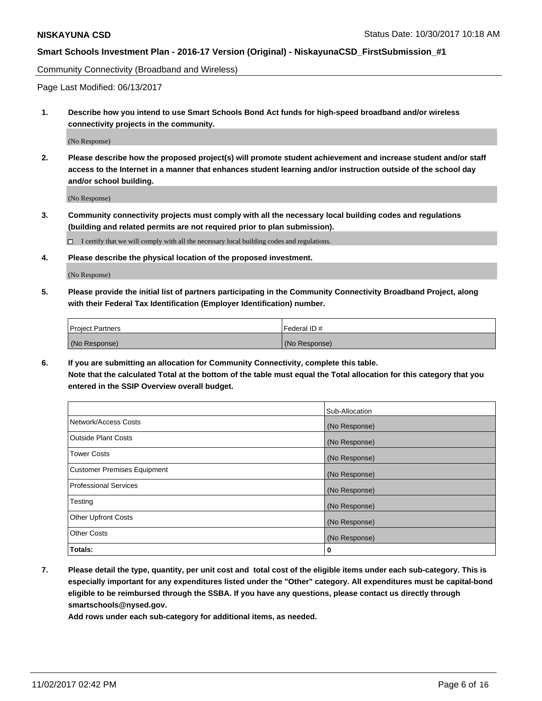Community Connectivity (Broadband and Wireless)

Page Last Modified: 06/13/2017

**1. Describe how you intend to use Smart Schools Bond Act funds for high-speed broadband and/or wireless connectivity projects in the community.**

(No Response)

**2. Please describe how the proposed project(s) will promote student achievement and increase student and/or staff access to the Internet in a manner that enhances student learning and/or instruction outside of the school day and/or school building.**

(No Response)

**3. Community connectivity projects must comply with all the necessary local building codes and regulations (building and related permits are not required prior to plan submission).**

 $\Box$  I certify that we will comply with all the necessary local building codes and regulations.

**4. Please describe the physical location of the proposed investment.**

(No Response)

**5. Please provide the initial list of partners participating in the Community Connectivity Broadband Project, along with their Federal Tax Identification (Employer Identification) number.**

| <b>Project Partners</b> | l Federal ID # |
|-------------------------|----------------|
| (No Response)           | (No Response)  |

**6. If you are submitting an allocation for Community Connectivity, complete this table. Note that the calculated Total at the bottom of the table must equal the Total allocation for this category that you entered in the SSIP Overview overall budget.**

|                                    | Sub-Allocation |
|------------------------------------|----------------|
| Network/Access Costs               | (No Response)  |
| <b>Outside Plant Costs</b>         | (No Response)  |
| <b>Tower Costs</b>                 | (No Response)  |
| <b>Customer Premises Equipment</b> | (No Response)  |
| <b>Professional Services</b>       | (No Response)  |
| Testing                            | (No Response)  |
| <b>Other Upfront Costs</b>         | (No Response)  |
| <b>Other Costs</b>                 | (No Response)  |
| Totals:                            | 0              |

**7. Please detail the type, quantity, per unit cost and total cost of the eligible items under each sub-category. This is especially important for any expenditures listed under the "Other" category. All expenditures must be capital-bond eligible to be reimbursed through the SSBA. If you have any questions, please contact us directly through smartschools@nysed.gov.**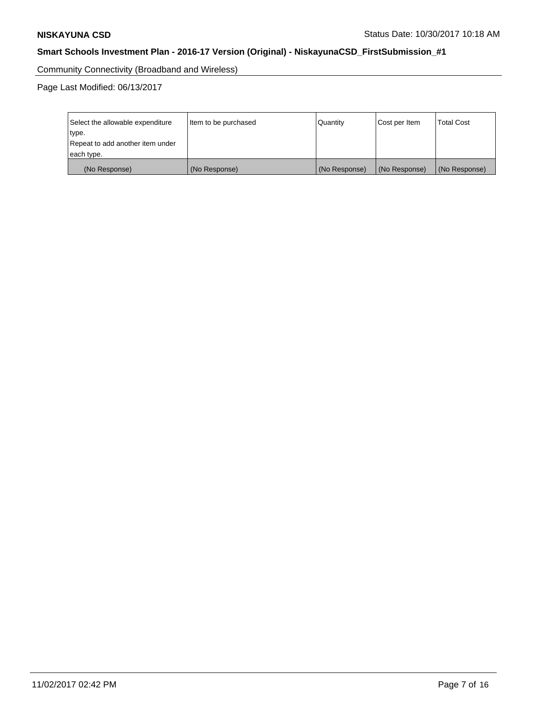Community Connectivity (Broadband and Wireless)

Page Last Modified: 06/13/2017

| Select the allowable expenditure<br>type.<br>Repeat to add another item under | Item to be purchased | Quantity      | Cost per Item | <b>Total Cost</b> |
|-------------------------------------------------------------------------------|----------------------|---------------|---------------|-------------------|
| each type.                                                                    |                      |               |               |                   |
| (No Response)                                                                 | (No Response)        | (No Response) | (No Response) | (No Response)     |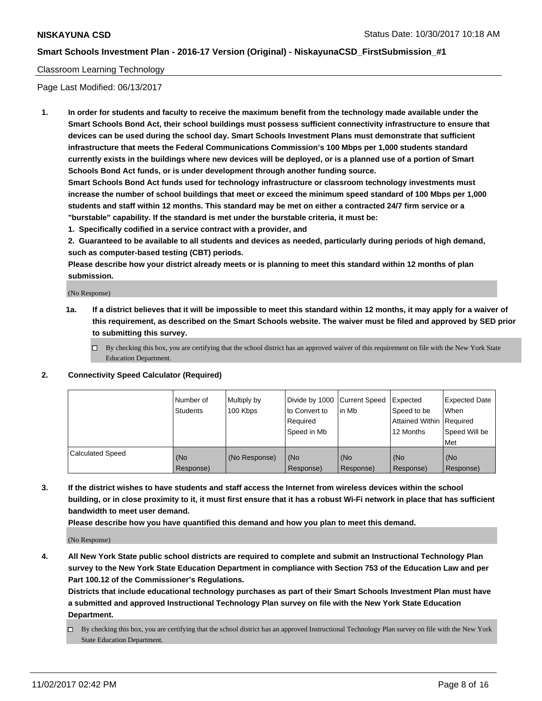#### Classroom Learning Technology

Page Last Modified: 06/13/2017

**1. In order for students and faculty to receive the maximum benefit from the technology made available under the Smart Schools Bond Act, their school buildings must possess sufficient connectivity infrastructure to ensure that devices can be used during the school day. Smart Schools Investment Plans must demonstrate that sufficient infrastructure that meets the Federal Communications Commission's 100 Mbps per 1,000 students standard currently exists in the buildings where new devices will be deployed, or is a planned use of a portion of Smart Schools Bond Act funds, or is under development through another funding source.**

**Smart Schools Bond Act funds used for technology infrastructure or classroom technology investments must increase the number of school buildings that meet or exceed the minimum speed standard of 100 Mbps per 1,000 students and staff within 12 months. This standard may be met on either a contracted 24/7 firm service or a "burstable" capability. If the standard is met under the burstable criteria, it must be:**

**1. Specifically codified in a service contract with a provider, and**

**2. Guaranteed to be available to all students and devices as needed, particularly during periods of high demand, such as computer-based testing (CBT) periods.**

**Please describe how your district already meets or is planning to meet this standard within 12 months of plan submission.**

(No Response)

- **1a. If a district believes that it will be impossible to meet this standard within 12 months, it may apply for a waiver of this requirement, as described on the Smart Schools website. The waiver must be filed and approved by SED prior to submitting this survey.**
	- $\Box$  By checking this box, you are certifying that the school district has an approved waiver of this requirement on file with the New York State Education Department.
- **2. Connectivity Speed Calculator (Required)**

|                         | Number of<br><b>Students</b> | Multiply by<br>100 Kbps | Divide by 1000 Current Speed<br>to Convert to<br>Reauired<br>Speed in Mb | l in Mb          | Expected<br>Speed to be<br>Attained Within   Required<br>12 Months | Expected Date<br>When<br>Speed Will be<br>Met |
|-------------------------|------------------------------|-------------------------|--------------------------------------------------------------------------|------------------|--------------------------------------------------------------------|-----------------------------------------------|
| <b>Calculated Speed</b> | (No<br>Response)             | (No Response)           | (No<br>Response)                                                         | (No<br>Response) | (No<br>Response)                                                   | (No<br>Response)                              |

**3. If the district wishes to have students and staff access the Internet from wireless devices within the school building, or in close proximity to it, it must first ensure that it has a robust Wi-Fi network in place that has sufficient bandwidth to meet user demand.**

**Please describe how you have quantified this demand and how you plan to meet this demand.**

(No Response)

**4. All New York State public school districts are required to complete and submit an Instructional Technology Plan survey to the New York State Education Department in compliance with Section 753 of the Education Law and per Part 100.12 of the Commissioner's Regulations.**

**Districts that include educational technology purchases as part of their Smart Schools Investment Plan must have a submitted and approved Instructional Technology Plan survey on file with the New York State Education Department.**

By checking this box, you are certifying that the school district has an approved Instructional Technology Plan survey on file with the New York State Education Department.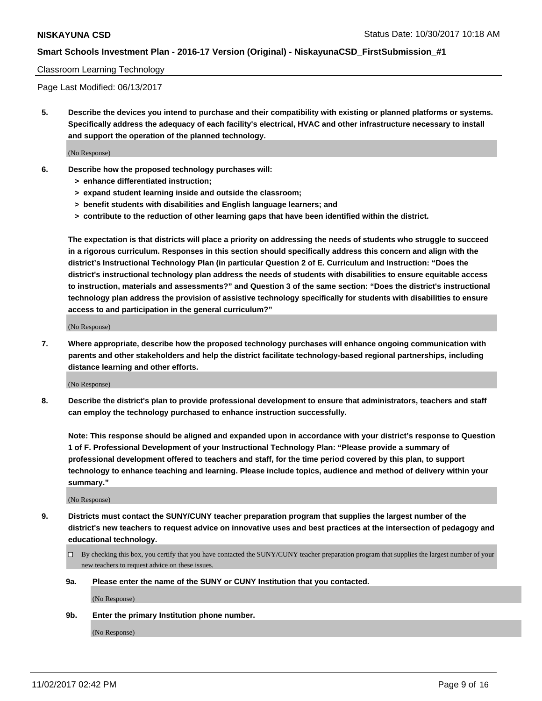#### Classroom Learning Technology

Page Last Modified: 06/13/2017

**5. Describe the devices you intend to purchase and their compatibility with existing or planned platforms or systems. Specifically address the adequacy of each facility's electrical, HVAC and other infrastructure necessary to install and support the operation of the planned technology.**

(No Response)

- **6. Describe how the proposed technology purchases will:**
	- **> enhance differentiated instruction;**
	- **> expand student learning inside and outside the classroom;**
	- **> benefit students with disabilities and English language learners; and**
	- **> contribute to the reduction of other learning gaps that have been identified within the district.**

**The expectation is that districts will place a priority on addressing the needs of students who struggle to succeed in a rigorous curriculum. Responses in this section should specifically address this concern and align with the district's Instructional Technology Plan (in particular Question 2 of E. Curriculum and Instruction: "Does the district's instructional technology plan address the needs of students with disabilities to ensure equitable access to instruction, materials and assessments?" and Question 3 of the same section: "Does the district's instructional technology plan address the provision of assistive technology specifically for students with disabilities to ensure access to and participation in the general curriculum?"**

(No Response)

**7. Where appropriate, describe how the proposed technology purchases will enhance ongoing communication with parents and other stakeholders and help the district facilitate technology-based regional partnerships, including distance learning and other efforts.**

(No Response)

**8. Describe the district's plan to provide professional development to ensure that administrators, teachers and staff can employ the technology purchased to enhance instruction successfully.**

**Note: This response should be aligned and expanded upon in accordance with your district's response to Question 1 of F. Professional Development of your Instructional Technology Plan: "Please provide a summary of professional development offered to teachers and staff, for the time period covered by this plan, to support technology to enhance teaching and learning. Please include topics, audience and method of delivery within your summary."**

(No Response)

- **9. Districts must contact the SUNY/CUNY teacher preparation program that supplies the largest number of the district's new teachers to request advice on innovative uses and best practices at the intersection of pedagogy and educational technology.**
	- By checking this box, you certify that you have contacted the SUNY/CUNY teacher preparation program that supplies the largest number of your new teachers to request advice on these issues.
	- **9a. Please enter the name of the SUNY or CUNY Institution that you contacted.**

(No Response)

**9b. Enter the primary Institution phone number.**

(No Response)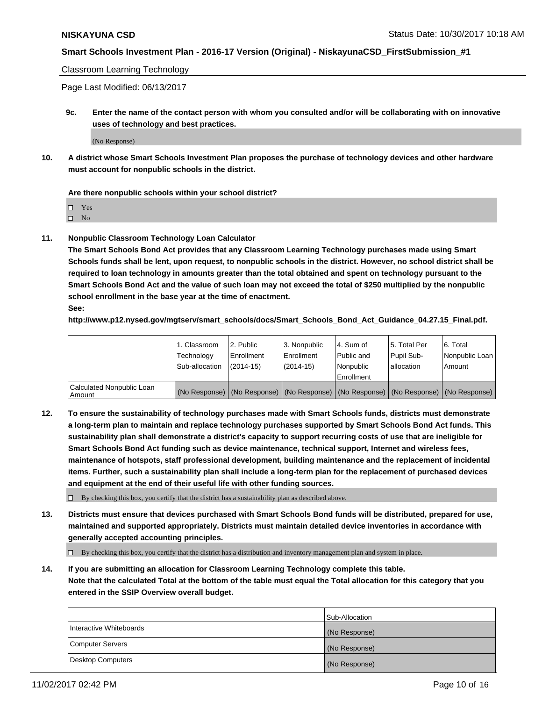Classroom Learning Technology

Page Last Modified: 06/13/2017

**9c. Enter the name of the contact person with whom you consulted and/or will be collaborating with on innovative uses of technology and best practices.**

(No Response)

**10. A district whose Smart Schools Investment Plan proposes the purchase of technology devices and other hardware must account for nonpublic schools in the district.**

**Are there nonpublic schools within your school district?**

Yes

 $\square$  No

**11. Nonpublic Classroom Technology Loan Calculator**

**The Smart Schools Bond Act provides that any Classroom Learning Technology purchases made using Smart Schools funds shall be lent, upon request, to nonpublic schools in the district. However, no school district shall be required to loan technology in amounts greater than the total obtained and spent on technology pursuant to the Smart Schools Bond Act and the value of such loan may not exceed the total of \$250 multiplied by the nonpublic school enrollment in the base year at the time of enactment.**

**See:**

**http://www.p12.nysed.gov/mgtserv/smart\_schools/docs/Smart\_Schools\_Bond\_Act\_Guidance\_04.27.15\_Final.pdf.**

|                                       | 1. Classroom<br>Technology | l 2. Public<br>Enrollment | 3. Nonpublic<br>Enrollment | l 4. Sum of<br>Public and | 15. Total Per<br>Pupil Sub- | 6. Total<br>Nonpublic Loan                                                                    |
|---------------------------------------|----------------------------|---------------------------|----------------------------|---------------------------|-----------------------------|-----------------------------------------------------------------------------------------------|
|                                       | Sub-allocation             | $(2014-15)$               | $(2014-15)$                | l Nonpublic               | allocation                  | Amount                                                                                        |
|                                       |                            |                           |                            | Enrollment                |                             |                                                                                               |
| Calculated Nonpublic Loan<br>  Amount |                            |                           |                            |                           |                             | (No Response)   (No Response)   (No Response)   (No Response)   (No Response)   (No Response) |

**12. To ensure the sustainability of technology purchases made with Smart Schools funds, districts must demonstrate a long-term plan to maintain and replace technology purchases supported by Smart Schools Bond Act funds. This sustainability plan shall demonstrate a district's capacity to support recurring costs of use that are ineligible for Smart Schools Bond Act funding such as device maintenance, technical support, Internet and wireless fees, maintenance of hotspots, staff professional development, building maintenance and the replacement of incidental items. Further, such a sustainability plan shall include a long-term plan for the replacement of purchased devices and equipment at the end of their useful life with other funding sources.**

 $\Box$  By checking this box, you certify that the district has a sustainability plan as described above.

**13. Districts must ensure that devices purchased with Smart Schools Bond funds will be distributed, prepared for use, maintained and supported appropriately. Districts must maintain detailed device inventories in accordance with generally accepted accounting principles.**

By checking this box, you certify that the district has a distribution and inventory management plan and system in place.

**14. If you are submitting an allocation for Classroom Learning Technology complete this table. Note that the calculated Total at the bottom of the table must equal the Total allocation for this category that you entered in the SSIP Overview overall budget.**

|                         | Sub-Allocation |
|-------------------------|----------------|
| Interactive Whiteboards | (No Response)  |
| Computer Servers        | (No Response)  |
| Desktop Computers       | (No Response)  |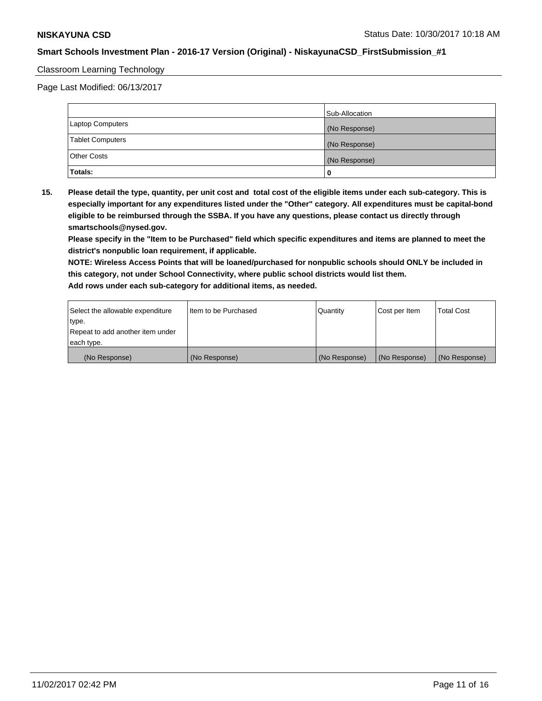#### Classroom Learning Technology

Page Last Modified: 06/13/2017

|                         | Sub-Allocation |
|-------------------------|----------------|
| <b>Laptop Computers</b> | (No Response)  |
| <b>Tablet Computers</b> | (No Response)  |
| <b>Other Costs</b>      | (No Response)  |
| Totals:                 |                |

**15. Please detail the type, quantity, per unit cost and total cost of the eligible items under each sub-category. This is especially important for any expenditures listed under the "Other" category. All expenditures must be capital-bond eligible to be reimbursed through the SSBA. If you have any questions, please contact us directly through smartschools@nysed.gov.**

**Please specify in the "Item to be Purchased" field which specific expenditures and items are planned to meet the district's nonpublic loan requirement, if applicable.**

**NOTE: Wireless Access Points that will be loaned/purchased for nonpublic schools should ONLY be included in this category, not under School Connectivity, where public school districts would list them. Add rows under each sub-category for additional items, as needed.**

| Select the allowable expenditure | Iltem to be Purchased | Quantity      | Cost per Item | <b>Total Cost</b> |
|----------------------------------|-----------------------|---------------|---------------|-------------------|
| type.                            |                       |               |               |                   |
| Repeat to add another item under |                       |               |               |                   |
| each type.                       |                       |               |               |                   |
| (No Response)                    | (No Response)         | (No Response) | (No Response) | (No Response)     |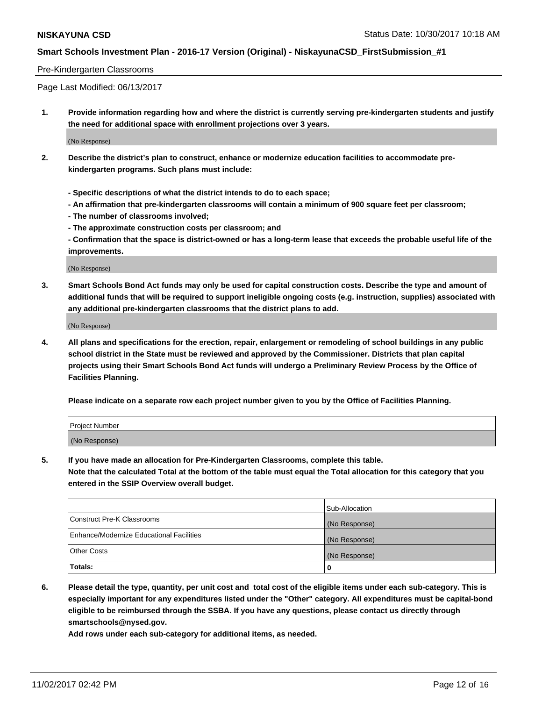#### Pre-Kindergarten Classrooms

Page Last Modified: 06/13/2017

**1. Provide information regarding how and where the district is currently serving pre-kindergarten students and justify the need for additional space with enrollment projections over 3 years.**

(No Response)

- **2. Describe the district's plan to construct, enhance or modernize education facilities to accommodate prekindergarten programs. Such plans must include:**
	- **Specific descriptions of what the district intends to do to each space;**
	- **An affirmation that pre-kindergarten classrooms will contain a minimum of 900 square feet per classroom;**
	- **The number of classrooms involved;**
	- **The approximate construction costs per classroom; and**
	- **Confirmation that the space is district-owned or has a long-term lease that exceeds the probable useful life of the improvements.**

(No Response)

**3. Smart Schools Bond Act funds may only be used for capital construction costs. Describe the type and amount of additional funds that will be required to support ineligible ongoing costs (e.g. instruction, supplies) associated with any additional pre-kindergarten classrooms that the district plans to add.**

(No Response)

**4. All plans and specifications for the erection, repair, enlargement or remodeling of school buildings in any public school district in the State must be reviewed and approved by the Commissioner. Districts that plan capital projects using their Smart Schools Bond Act funds will undergo a Preliminary Review Process by the Office of Facilities Planning.**

**Please indicate on a separate row each project number given to you by the Office of Facilities Planning.**

| Project Number |  |
|----------------|--|
| (No Response)  |  |

**5. If you have made an allocation for Pre-Kindergarten Classrooms, complete this table.**

**Note that the calculated Total at the bottom of the table must equal the Total allocation for this category that you entered in the SSIP Overview overall budget.**

|                                          | Sub-Allocation |
|------------------------------------------|----------------|
| Construct Pre-K Classrooms               | (No Response)  |
| Enhance/Modernize Educational Facilities | (No Response)  |
| <b>Other Costs</b>                       | (No Response)  |
| <b>Totals:</b>                           | 0              |

**6. Please detail the type, quantity, per unit cost and total cost of the eligible items under each sub-category. This is especially important for any expenditures listed under the "Other" category. All expenditures must be capital-bond eligible to be reimbursed through the SSBA. If you have any questions, please contact us directly through smartschools@nysed.gov.**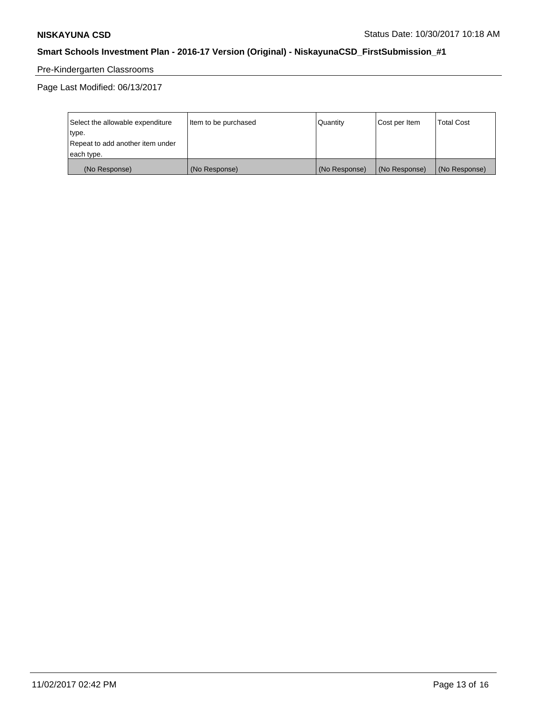# Pre-Kindergarten Classrooms

Page Last Modified: 06/13/2017

| Select the allowable expenditure | Item to be purchased | Quantity      | Cost per Item | <b>Total Cost</b> |
|----------------------------------|----------------------|---------------|---------------|-------------------|
| type.                            |                      |               |               |                   |
| Repeat to add another item under |                      |               |               |                   |
| each type.                       |                      |               |               |                   |
| (No Response)                    | (No Response)        | (No Response) | (No Response) | (No Response)     |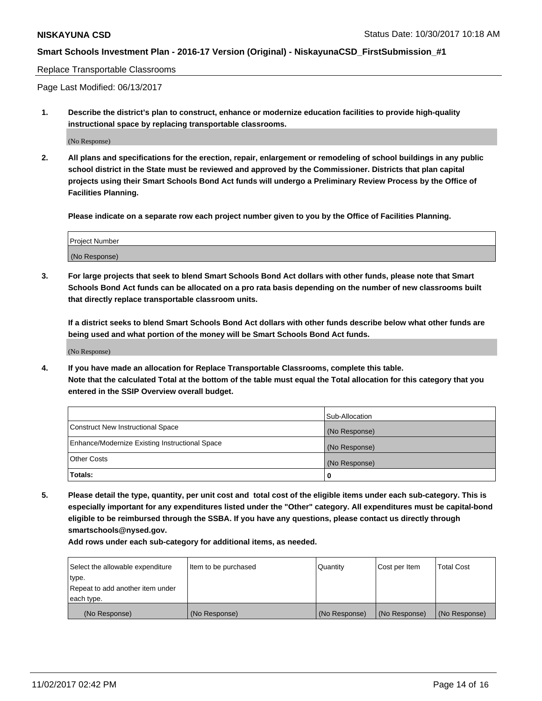#### Replace Transportable Classrooms

Page Last Modified: 06/13/2017

**1. Describe the district's plan to construct, enhance or modernize education facilities to provide high-quality instructional space by replacing transportable classrooms.**

(No Response)

**2. All plans and specifications for the erection, repair, enlargement or remodeling of school buildings in any public school district in the State must be reviewed and approved by the Commissioner. Districts that plan capital projects using their Smart Schools Bond Act funds will undergo a Preliminary Review Process by the Office of Facilities Planning.**

**Please indicate on a separate row each project number given to you by the Office of Facilities Planning.**

| <b>Project Number</b> |  |
|-----------------------|--|
| (No Response)         |  |

**3. For large projects that seek to blend Smart Schools Bond Act dollars with other funds, please note that Smart Schools Bond Act funds can be allocated on a pro rata basis depending on the number of new classrooms built that directly replace transportable classroom units.**

**If a district seeks to blend Smart Schools Bond Act dollars with other funds describe below what other funds are being used and what portion of the money will be Smart Schools Bond Act funds.**

(No Response)

**4. If you have made an allocation for Replace Transportable Classrooms, complete this table. Note that the calculated Total at the bottom of the table must equal the Total allocation for this category that you entered in the SSIP Overview overall budget.**

|                                                | Sub-Allocation |
|------------------------------------------------|----------------|
| Construct New Instructional Space              | (No Response)  |
| Enhance/Modernize Existing Instructional Space | (No Response)  |
| <b>Other Costs</b>                             | (No Response)  |
| Totals:                                        | 0              |

**5. Please detail the type, quantity, per unit cost and total cost of the eligible items under each sub-category. This is especially important for any expenditures listed under the "Other" category. All expenditures must be capital-bond eligible to be reimbursed through the SSBA. If you have any questions, please contact us directly through smartschools@nysed.gov.**

| Select the allowable expenditure | Item to be purchased | Quantity      | Cost per Item | <b>Total Cost</b> |
|----------------------------------|----------------------|---------------|---------------|-------------------|
| type.                            |                      |               |               |                   |
| Repeat to add another item under |                      |               |               |                   |
| each type.                       |                      |               |               |                   |
| (No Response)                    | (No Response)        | (No Response) | (No Response) | (No Response)     |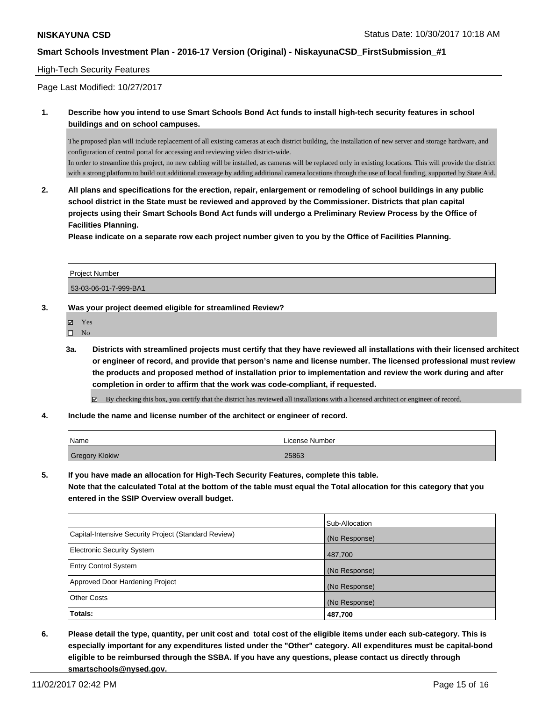#### High-Tech Security Features

Page Last Modified: 10/27/2017

#### **1. Describe how you intend to use Smart Schools Bond Act funds to install high-tech security features in school buildings and on school campuses.**

The proposed plan will include replacement of all existing cameras at each district building, the installation of new server and storage hardware, and configuration of central portal for accessing and reviewing video district-wide.

In order to streamline this project, no new cabling will be installed, as cameras will be replaced only in existing locations. This will provide the district with a strong platform to build out additional coverage by adding additional camera locations through the use of local funding, supported by State Aid.

**2. All plans and specifications for the erection, repair, enlargement or remodeling of school buildings in any public school district in the State must be reviewed and approved by the Commissioner. Districts that plan capital projects using their Smart Schools Bond Act funds will undergo a Preliminary Review Process by the Office of Facilities Planning.** 

**Please indicate on a separate row each project number given to you by the Office of Facilities Planning.**

| l Proiect Number      |  |
|-----------------------|--|
| 53-03-06-01-7-999-BA1 |  |

#### **3. Was your project deemed eligible for streamlined Review?**

- Yes
- $\square$  No
- **3a. Districts with streamlined projects must certify that they have reviewed all installations with their licensed architect or engineer of record, and provide that person's name and license number. The licensed professional must review the products and proposed method of installation prior to implementation and review the work during and after completion in order to affirm that the work was code-compliant, if requested.**

By checking this box, you certify that the district has reviewed all installations with a licensed architect or engineer of record.

**4. Include the name and license number of the architect or engineer of record.**

| Name           | License Number |
|----------------|----------------|
| Gregory Klokiw | 25863          |

**5. If you have made an allocation for High-Tech Security Features, complete this table. Note that the calculated Total at the bottom of the table must equal the Total allocation for this category that you entered in the SSIP Overview overall budget.**

|                                                      | Sub-Allocation |
|------------------------------------------------------|----------------|
| Capital-Intensive Security Project (Standard Review) | (No Response)  |
| <b>Electronic Security System</b>                    | 487,700        |
| <b>Entry Control System</b>                          | (No Response)  |
| Approved Door Hardening Project                      | (No Response)  |
| <b>Other Costs</b>                                   | (No Response)  |
| Totals:                                              | 487,700        |

**6. Please detail the type, quantity, per unit cost and total cost of the eligible items under each sub-category. This is especially important for any expenditures listed under the "Other" category. All expenditures must be capital-bond eligible to be reimbursed through the SSBA. If you have any questions, please contact us directly through smartschools@nysed.gov.**